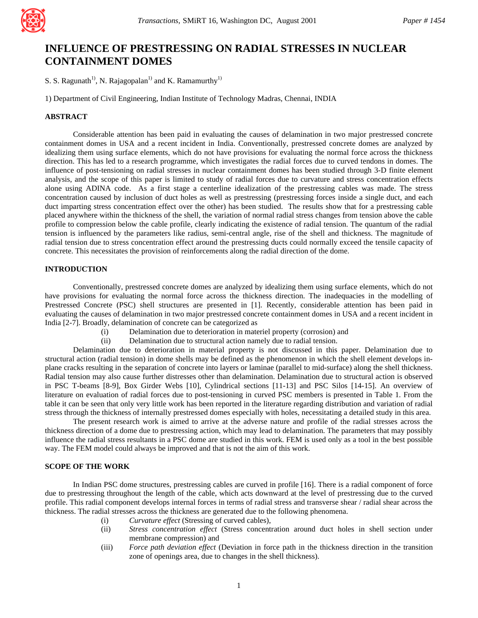

# **INFLUENCE OF PRESTRESSING ON RADIAL STRESSES IN NUCLEAR CONTAINMENT DOMES**

S. S. Ragunath<sup>1)</sup>, N. Rajagopalan<sup>1)</sup> and K. Ramamurthy<sup>1)</sup>

1) Department of Civil Engineering, Indian Institute of Technology Madras, Chennai, INDIA

# **ABSTRACT**

Considerable attention has been paid in evaluating the causes of delamination in two major prestressed concrete containment domes in USA and a recent incident in India. Conventionally, prestressed concrete domes are analyzed by idealizing them using surface elements, which do not have provisions for evaluating the normal force across the thickness direction. This has led to a research programme, which investigates the radial forces due to curved tendons in domes. The influence of post-tensioning on radial stresses in nuclear containment domes has been studied through 3-D finite element analysis, and the scope of this paper is limited to study of radial forces due to curvature and stress concentration effects alone using ADINA code. As a first stage a centerline idealization of the prestressing cables was made. The stress concentration caused by inclusion of duct holes as well as prestressing (prestressing forces inside a single duct, and each duct imparting stress concentration effect over the other) has been studied. The results show that for a prestressing cable placed anywhere within the thickness of the shell, the variation of normal radial stress changes from tension above the cable profile to compression below the cable profile, clearly indicating the existence of radial tension. The quantum of the radial tension is influenced by the parameters like radius, semi-central angle, rise of the shell and thickness. The magnitude of radial tension due to stress concentration effect around the prestressing ducts could normally exceed the tensile capacity of concrete. This necessitates the provision of reinforcements along the radial direction of the dome.

### **INTRODUCTION**

Conventionally, prestressed concrete domes are analyzed by idealizing them using surface elements, which do not have provisions for evaluating the normal force across the thickness direction. The inadequacies in the modelling of Prestressed Concrete (PSC) shell structures are presented in [1]. Recently, considerable attention has been paid in evaluating the causes of delamination in two major prestressed concrete containment domes in USA and a recent incident in India [2-7]. Broadly, delamination of concrete can be categorized as

- (i) Delamination due to deterioration in materiel property (corrosion) and
- (ii) Delamination due to structural action namely due to radial tension.

Delamination due to deterioration in material property is not discussed in this paper. Delamination due to structural action (radial tension) in dome shells may be defined as the phenomenon in which the shell element develops inplane cracks resulting in the separation of concrete into layers or laminae (parallel to mid-surface) along the shell thickness. Radial tension may also cause further distresses other than delamination. Delamination due to structural action is observed in PSC T-beams [8-9], Box Girder Webs [10], Cylindrical sections [11-13] and PSC Silos [14-15]. An overview of literature on evaluation of radial forces due to post-tensioning in curved PSC members is presented in Table 1. From the table it can be seen that only very little work has been reported in the literature regarding distribution and variation of radial stress through the thickness of internally prestressed domes especially with holes, necessitating a detailed study in this area.

The present research work is aimed to arrive at the adverse nature and profile of the radial stresses across the thickness direction of a dome due to prestressing action, which may lead to delamination. The parameters that may possibly influence the radial stress resultants in a PSC dome are studied in this work. FEM is used only as a tool in the best possible way. The FEM model could always be improved and that is not the aim of this work.

### **SCOPE OF THE WORK**

In Indian PSC dome structures, prestressing cables are curved in profile [16]. There is a radial component of force due to prestressing throughout the length of the cable, which acts downward at the level of prestressing due to the curved profile. This radial component develops internal forces in terms of radial stress and transverse shear / radial shear across the thickness. The radial stresses across the thickness are generated due to the following phenomena.

- (i) *Curvature effect* (Stressing of curved cables),
- (ii) *Stress concentration effect* (Stress concentration around duct holes in shell section under membrane compression) and
- (iii) *Force path deviation effect* (Deviation in force path in the thickness direction in the transition zone of openings area, due to changes in the shell thickness).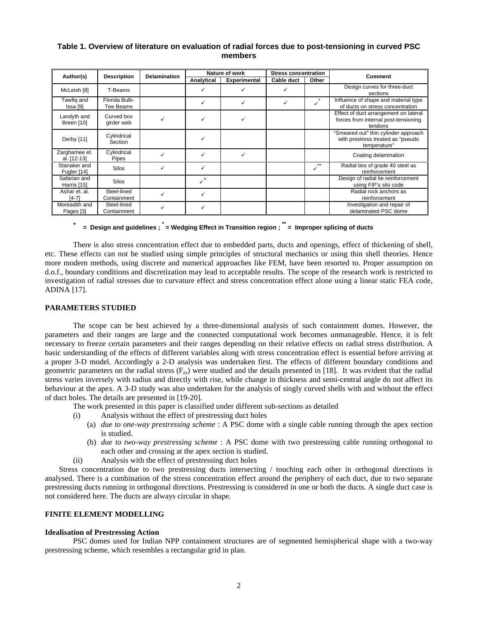# **Table 1. Overview of literature on evaluation of radial forces due to post-tensioning in curved PSC members**

|                              | <b>Description</b>         | <b>Delamination</b> | Nature of work            |                     | <b>Stress concentration</b> |                   |                                                                                           |
|------------------------------|----------------------------|---------------------|---------------------------|---------------------|-----------------------------|-------------------|-------------------------------------------------------------------------------------------|
| Author(s)                    |                            |                     | Analytical                | <b>Experimental</b> | Cable duct                  | Other             | Comment                                                                                   |
| McLeish [8]                  | T-Beams                    |                     |                           |                     | ✓                           |                   | Design curves for three-duct<br>sections                                                  |
| Tawfig and<br>Issa [9]       | Florida Bulb-<br>Tee Beams |                     |                           |                     | ✓                           |                   | Influence of shape and material type<br>of ducts on stress concentration                  |
| Landyth and<br>Breen [10]    | Curved box<br>girder web   |                     |                           |                     |                             |                   | Effect of duct arrangement on lateral<br>forces from internal post-tensioning<br>tendons  |
| Derby [11]                   | Cylindrical<br>Section     |                     |                           |                     |                             |                   | "Smeared out" thin cylinder approach<br>with prestress treated as "pseudo<br>temperature" |
| Zarghamee et.<br>al. [12-13] | Cylindrical<br>Pipes       |                     |                           | ✓                   |                             |                   | Coating delamination                                                                      |
| Stanaker and<br>Fugler [14]  | <b>Silos</b>               |                     | ✓                         |                     |                             | $\star\star$<br>✓ | Radial ties of grade 40 steel as<br>reinforcement                                         |
| Safarian and<br>Harris [15]  | <b>Silos</b>               |                     | $\checkmark$ <sup>+</sup> |                     |                             |                   | Design of radial tie reinforcement<br>using FIP's silo code                               |
| Ashar et. al.<br>[4-7]       | Steel-lined<br>Containment |                     |                           |                     |                             |                   | Radial rock anchors as<br>reinforcement                                                   |
| Moreadith and<br>Pages [3]   | Steel-lined<br>Containment |                     |                           |                     |                             |                   | Investigation and repair of<br>delaminated PSC dome                                       |

# **+ = Design and guidelines ; \* = Wedging Effect in Transition region ; \*\* = Improper splicing of ducts**

There is also stress concentration effect due to embedded parts, ducts and openings, effect of thickening of shell, etc. These effects can not be studied using simple principles of structural mechanics or using thin shell theories. Hence more modern methods, using discrete and numerical approaches like FEM, have been resorted to. Proper assumption on d.o.f., boundary conditions and discretization may lead to acceptable results. The scope of the research work is restricted to investigation of radial stresses due to curvature effect and stress concentration effect alone using a linear static FEA code, ADINA [17].

### **PARAMETERS STUDIED**

The scope can be best achieved by a three-dimensional analysis of such containment domes. However, the parameters and their ranges are large and the connected computational work becomes unmanageable. Hence, it is felt necessary to freeze certain parameters and their ranges depending on their relative effects on radial stress distribution. A basic understanding of the effects of different variables along with stress concentration effect is essential before arriving at a proper 3-D model. Accordingly a 2-D analysis was undertaken first. The effects of different boundary conditions and geometric parameters on the radial stress  $(F_{77})$  were studied and the details presented in [18]. It was evident that the radial stress varies inversely with radius and directly with rise, while change in thickness and semi-central angle do not affect its behaviour at the apex. A 3-D study was also undertaken for the analysis of singly curved shells with and without the effect of duct holes. The details are presented in [19-20].

The work presented in this paper is classified under different sub-sections as detailed

- (i) Analysis without the effect of prestressing duct holes
	- (a) *due to one-way prestressing scheme* : A PSC dome with a single cable running through the apex section is studied.
	- (b) *due to two-way prestressing scheme* : A PSC dome with two prestressing cable running orthogonal to each other and crossing at the apex section is studied.
	- Analysis with the effect of prestressing duct holes

Stress concentration due to two prestressing ducts intersecting / touching each other in orthogonal directions is analysed. There is a combination of the stress concentration effect around the periphery of each duct, due to two separate prestressing ducts running in orthogonal directions. Prestressing is considered in one or both the ducts. A single duct case is not considered here. The ducts are always circular in shape.

### **FINITE ELEMENT MODELLING**

#### **Idealisation of Prestressing Action**

PSC domes used for Indian NPP containment structures are of segmented hemispherical shape with a two-way prestressing scheme, which resembles a rectangular grid in plan.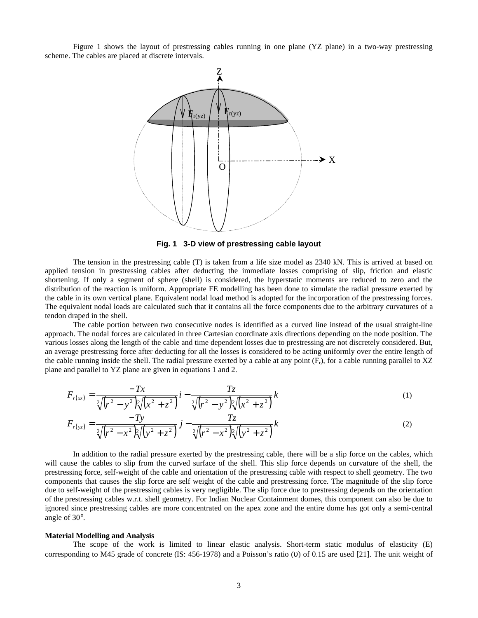Figure 1 shows the layout of prestressing cables running in one plane (YZ plane) in a two-way prestressing scheme. The cables are placed at discrete intervals.



**Fig. 1 3-D view of prestressing cable layout**

The tension in the prestressing cable (T) is taken from a life size model as 2340 kN. This is arrived at based on applied tension in prestressing cables after deducting the immediate losses comprising of slip, friction and elastic shortening. If only a segment of sphere (shell) is considered, the hyperstatic moments are reduced to zero and the distribution of the reaction is uniform. Appropriate FE modelling has been done to simulate the radial pressure exerted by the cable in its own vertical plane. Equivalent nodal load method is adopted for the incorporation of the prestressing forces. The equivalent nodal loads are calculated such that it contains all the force components due to the arbitrary curvatures of a tendon draped in the shell.

The cable portion between two consecutive nodes is identified as a curved line instead of the usual straight-line approach. The nodal forces are calculated in three Cartesian coordinate axis directions depending on the node position. The various losses along the length of the cable and time dependent losses due to prestressing are not discretely considered. But, an average prestressing force after deducting for all the losses is considered to be acting uniformly over the entire length of the cable running inside the shell. The radial pressure exerted by a cable at any point  $(F_r)$ , for a cable running parallel to XZ plane and parallel to YZ plane are given in equations 1 and 2.

$$
F_{r(xz)} = \frac{-Tx}{\sqrt[2]{(r^2 - y^2)}\sqrt[2]{(x^2 + z^2)}} i - \frac{Tz}{\sqrt[2]{(r^2 - y^2)}\sqrt[2]{(x^2 + z^2)}} k
$$
 (1)

$$
F_{r(yz)} = \frac{-Ty}{\sqrt[2]{(r^2 - x^2)}\sqrt[2]{(y^2 + z^2)}} j - \frac{Tz}{\sqrt[2]{(r^2 - x^2)}\sqrt[2]{(y^2 + z^2)}} k
$$
 (2)

In addition to the radial pressure exerted by the prestressing cable, there will be a slip force on the cables, which will cause the cables to slip from the curved surface of the shell. This slip force depends on curvature of the shell, the prestressing force, self-weight of the cable and orientation of the prestressing cable with respect to shell geometry. The two components that causes the slip force are self weight of the cable and prestressing force. The magnitude of the slip force due to self-weight of the prestressing cables is very negligible. The slip force due to prestressing depends on the orientation of the prestressing cables w.r.t. shell geometry. For Indian Nuclear Containment domes, this component can also be due to ignored since prestressing cables are more concentrated on the apex zone and the entire dome has got only a semi-central angle of 30°.

#### **Material Modelling and Analysis**

The scope of the work is limited to linear elastic analysis. Short-term static modulus of elasticity (E) corresponding to M45 grade of concrete (IS: 456-1978) and a Poisson's ratio (υ) of 0.15 are used [21]. The unit weight of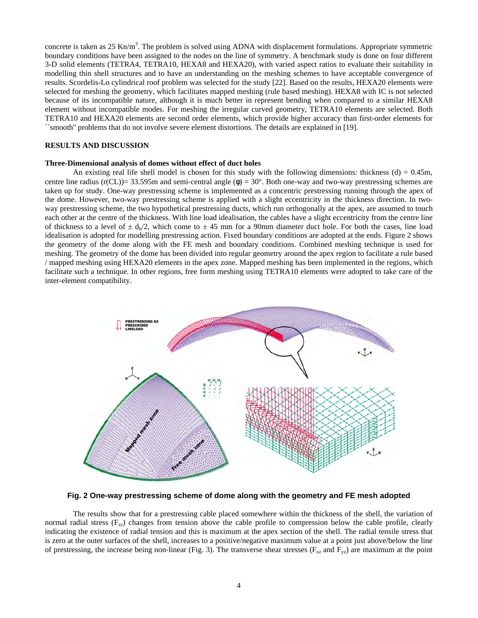concrete is taken as  $25 \text{ Kn/m}^3$ . The problem is solved using ADNA with displacement formulations. Appropriate symmetric boundary conditions have been assigned to the nodes on the line of symmetry. A benchmark study is done on four different 3-D solid elements (TETRA4, TETRA10, HEXA8 and HEXA20), with varied aspect ratios to evaluate their suitability in modelling thin shell structures and to have an understanding on the meshing schemes to have acceptable convergence of results. Scordelis-Lo cylindrical roof problem was selected for the study [22]. Based on the results, HEXA20 elements were selected for meshing the geometry, which facilitates mapped meshing (rule based meshing). HEXA8 with IC is not selected because of its incompatible nature, although it is much better in represent bending when compared to a similar HEXA8 element without incompatible modes. For meshing the irregular curved geometry, TETRA10 elements are selected. Both TETRA10 and HEXA20 elements are second order elements, which provide higher accuracy than first-order elements for ``smooth'' problems that do not involve severe element distortions. The details are explained in [19].

## **RESULTS AND DISCUSSION**

#### **Three-Dimensional analysis of domes without effect of duct holes**

An existing real life shell model is chosen for this study with the following dimensions: thickness (d) =  $0.45m$ , centre line radius (r(CL))= 33.595m and semi-central angle ( $\phi$ ) = 30°. Both one-way and two-way prestressing schemes are taken up for study. One-way prestressing scheme is implemented as a concentric prestressing running through the apex of the dome. However, two-way prestressing scheme is applied with a slight eccentricity in the thickness direction. In twoway prestressing scheme, the two hypothetical prestressing ducts, which run orthogonally at the apex, are assumed to touch each other at the centre of the thickness. With line load idealisation, the cables have a slight eccentricity from the centre line of thickness to a level of  $\pm d_h/2$ , which come to  $\pm 45$  mm for a 90mm diameter duct hole. For both the cases, line load idealisation is adopted for modelling prestressing action. Fixed boundary conditions are adopted at the ends. Figure 2 shows the geometry of the dome along with the FE mesh and boundary conditions. Combined meshing technique is used for meshing. The geometry of the dome has been divided into regular geometry around the apex region to facilitate a rule based / mapped meshing using HEXA20 elements in the apex zone. Mapped meshing has been implemented in the regions, which facilitate such a technique. In other regions, free form meshing using TETRA10 elements were adopted to take care of the inter-element compatibility.



**Fig. 2 One-way prestressing scheme of dome along with the geometry and FE mesh adopted**

The results show that for a prestressing cable placed somewhere within the thickness of the shell, the variation of normal radial stress  $(F_{77})$  changes from tension above the cable profile to compression below the cable profile, clearly indicating the existence of radial tension and this is maximum at the apex section of the shell. The radial tensile stress that is zero at the outer surfaces of the shell, increases to a positive/negative maximum value at a point just above/below the line of prestressing, the increase being non-linear (Fig. 3). The transverse shear stresses ( $F_{xz}$  and  $F_{yz}$ ) are maximum at the point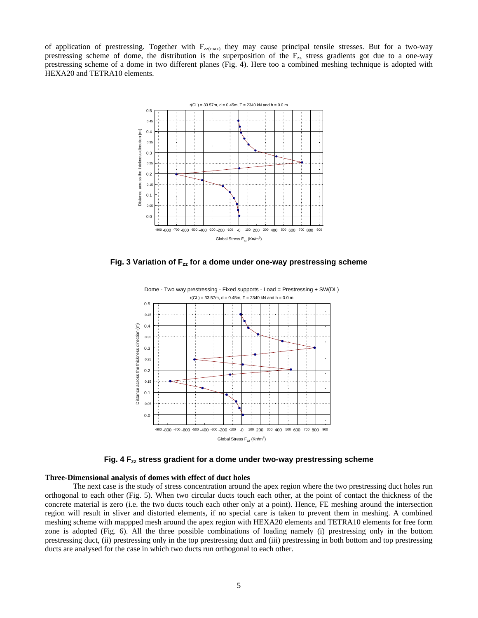of application of prestressing. Together with  $F_{zz(max)}$  they may cause principal tensile stresses. But for a two-way prestressing scheme of dome, the distribution is the superposition of the  $F_{zz}$  stress gradients got due to a one-way prestressing scheme of a dome in two different planes (Fig. 4). Here too a combined meshing technique is adopted with HEXA20 and TETRA10 elements.



**Fig. 3 Variation of Fzz for a dome under one-way prestressing scheme**



**Fig. 4 Fzz stress gradient for a dome under two-way prestressing scheme**

#### **Three-Dimensional analysis of domes with effect of duct holes**

The next case is the study of stress concentration around the apex region where the two prestressing duct holes run orthogonal to each other (Fig. 5). When two circular ducts touch each other, at the point of contact the thickness of the concrete material is zero (i.e. the two ducts touch each other only at a point). Hence, FE meshing around the intersection region will result in sliver and distorted elements, if no special care is taken to prevent them in meshing. A combined meshing scheme with mappped mesh around the apex region with HEXA20 elements and TETRA10 elements for free form zone is adopted (Fig. 6). All the three possible combinations of loading namely (i) prestressing only in the bottom prestressing duct, (ii) prestressing only in the top prestressing duct and (iii) prestressing in both bottom and top prestressing ducts are analysed for the case in which two ducts run orthogonal to each other.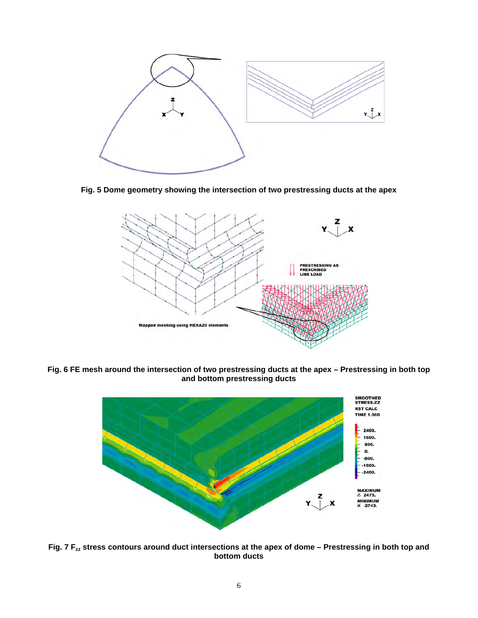

**Fig. 5 Dome geometry showing the intersection of two prestressing ducts at the apex**



**Fig. 6 FE mesh around the intersection of two prestressing ducts at the apex – Prestressing in both top and bottom prestressing ducts**



**Fig. 7 Fzz stress contours around duct intersections at the apex of dome – Prestressing in both top and bottom ducts**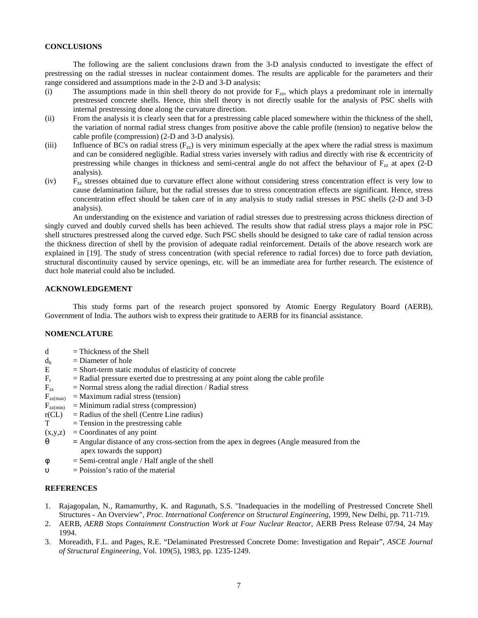## **CONCLUSIONS**

The following are the salient conclusions drawn from the 3-D analysis conducted to investigate the effect of prestressing on the radial stresses in nuclear containment domes. The results are applicable for the parameters and their range considered and assumptions made in the 2-D and 3-D analysis:

- (i) The assumptions made in thin shell theory do not provide for  $F_{zz}$ , which plays a predominant role in internally prestressed concrete shells. Hence, thin shell theory is not directly usable for the analysis of PSC shells with internal prestressing done along the curvature direction.
- (ii) From the analysis it is clearly seen that for a prestressing cable placed somewhere within the thickness of the shell, the variation of normal radial stress changes from positive above the cable profile (tension) to negative below the cable profile (compression) (2-D and 3-D analysis).
- (iii) Influence of BC's on radial stress  $(F_{7z})$  is very minimum especially at the apex where the radial stress is maximum and can be considered negligible. Radial stress varies inversely with radius and directly with rise  $\&$  eccentricity of prestressing while changes in thickness and semi-central angle do not affect the behaviour of  $F_{7z}$  at apex (2-D) analysis).
- (iv)  $F_{77}$  stresses obtained due to curvature effect alone without considering stress concentration effect is very low to cause delamination failure, but the radial stresses due to stress concentration effects are significant. Hence, stress concentration effect should be taken care of in any analysis to study radial stresses in PSC shells (2-D and 3-D analysis).

An understanding on the existence and variation of radial stresses due to prestressing across thickness direction of singly curved and doubly curved shells has been achieved. The results show that radial stress plays a major role in PSC shell structures prestressed along the curved edge. Such PSC shells should be designed to take care of radial tension across the thickness direction of shell by the provision of adequate radial reinforcement. Details of the above research work are explained in [19]. The study of stress concentration (with special reference to radial forces) due to force path deviation, structural discontinuity caused by service openings, etc. will be an immediate area for further research. The existence of duct hole material could also be included.

## **ACKNOWLEDGEMENT**

This study forms part of the research project sponsored by Atomic Energy Regulatory Board (AERB), Government of India. The authors wish to express their gratitude to AERB for its financial assistance.

### **NOMENCLATURE**

- $d = Thichness of the Shell$  $d_h$  = Diameter of hole<br>E = Short-term static = Short-term static modulus of elasticity of concrete  $F_r$  = Radial pressure exerted due to prestressing at any point along the cable profile  $F_{77}$  = Normal stress along the radial direction / Radial stress  $F_{zz(max)}$  = Maximum radial stress (tension)  $F_{zz(min)}$  = Minimum radial stress (compression)  $r(CL)$  = Radius of the shell (Centre Line radius)  $T = T$ ension in the prestressing cable  $(x,y,z) =$ Coordinates of any point θ **=** Angular distance of any cross-section from the apex in degrees (Angle measured from the
	- apex towards the support)
- $\phi$  = Semi-central angle / Half angle of the shell
- υ = Poission's ratio of the material

## **REFERENCES**

- 1. Rajagopalan, N., Ramamurthy, K. and Ragunath, S.S. "Inadequacies in the modelling of Prestressed Concrete Shell Structures - An Overview", *Proc. International Conference on Structural Engineering*, 1999, New Delhi, pp. 711-719.
- 2. AERB, *AERB Stops Containment Construction Work at Four Nuclear Reactor*, AERB Press Release 07/94, 24 May 1994.
- 3. Moreadith, F.L. and Pages, R.E. "Delaminated Prestressed Concrete Dome: Investigation and Repair", *ASCE Journal of Structural Engineering*, Vol. 109(5), 1983, pp. 1235-1249.